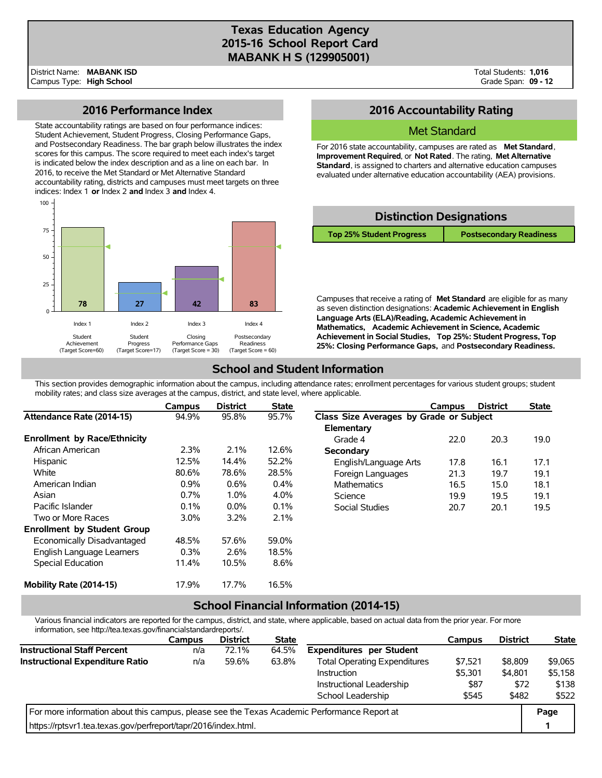# **Texas Education Agency 2015-16 School Report Card MABANK H S (129905001)**

Total Students: **1,016** Grade Span: **09 - 12**

#### **2016 Performance Index**

State accountability ratings are based on four performance indices: Student Achievement, Student Progress, Closing Performance Gaps, and Postsecondary Readiness. The bar graph below illustrates the index scores for this campus. The score required to meet each index's target is indicated below the index description and as a line on each bar. In 2016, to receive the Met Standard or Met Alternative Standard accountability rating, districts and campuses must meet targets on three indices: Index 1 **or** Index 2 **and** Index 3 **and** Index 4.



## **2016 Accountability Rating**

#### Met Standard

For 2016 state accountability, campuses are rated as **Met Standard**, **Improvement Required**, or **Not Rated**. The rating, **Met Alternative Standard**, is assigned to charters and alternative education campuses evaluated under alternative education accountability (AEA) provisions.



Campuses that receive a rating of **Met Standard** are eligible for as many as seven distinction designations: **Academic Achievement in English Language Arts (ELA)/Reading, Academic Achievement in Mathematics, Academic Achievement in Science, Academic Achievement in Social Studies, Top 25%: Student Progress, Top 25%: Closing Performance Gaps,** and **Postsecondary Readiness.**

## **School and Student Information**

This section provides demographic information about the campus, including attendance rates; enrollment percentages for various student groups; student mobility rates; and class size averages at the campus, district, and state level, where applicable.

|                                     | Campus  | <b>District</b> | <b>State</b> |                                         | Campus | <b>District</b> | <b>State</b> |
|-------------------------------------|---------|-----------------|--------------|-----------------------------------------|--------|-----------------|--------------|
| Attendance Rate (2014-15)           | 94.9%   | 95.8%           | 95.7%        | Class Size Averages by Grade or Subject |        |                 |              |
|                                     |         |                 |              | Elementary                              |        |                 |              |
| <b>Enrollment by Race/Ethnicity</b> |         |                 |              | Grade 4                                 | 22.0   | 20.3            | 19.0         |
| African American                    | 2.3%    | 2.1%            | 12.6%        | Secondary                               |        |                 |              |
| Hispanic                            | 12.5%   | 14.4%           | 52.2%        | English/Language Arts                   | 17.8   | 16.1            | 17.1         |
| White                               | 80.6%   | 78.6%           | 28.5%        | Foreign Languages                       | 21.3   | 19.7            | 19.1         |
| American Indian                     | 0.9%    | $0.6\%$         | 0.4%         | <b>Mathematics</b>                      | 16.5   | 15.0            | 18.1         |
| Asian                               | 0.7%    | 1.0%            | 4.0%         | Science                                 | 19.9   | 19.5            | 19.1         |
| Pacific Islander                    | 0.1%    | $0.0\%$         | 0.1%         | Social Studies                          | 20.7   | 20.1            | 19.5         |
| Two or More Races                   | $3.0\%$ | 3.2%            | 2.1%         |                                         |        |                 |              |
| <b>Enrollment by Student Group</b>  |         |                 |              |                                         |        |                 |              |
| Economically Disadvantaged          | 48.5%   | 57.6%           | 59.0%        |                                         |        |                 |              |
| English Language Learners           | 0.3%    | 2.6%            | 18.5%        |                                         |        |                 |              |
| Special Education                   | 11.4%   | 10.5%           | 8.6%         |                                         |        |                 |              |
| Mobility Rate (2014-15)             | 17.9%   | 17.7%           | 16.5%        |                                         |        |                 |              |

### **School Financial Information (2014-15)**

Various financial indicators are reported for the campus, district, and state, where applicable, based on actual data from the prior year. For more information, see http://tea.texas.gov/financialstandardreports/.

|                                                                                             | Campus | <b>District</b> | <b>State</b> |                                     | Campus  | <b>District</b> | <b>State</b> |
|---------------------------------------------------------------------------------------------|--------|-----------------|--------------|-------------------------------------|---------|-----------------|--------------|
| <b>Instructional Staff Percent</b>                                                          | n/a    | 72.1%           | 64.5%        | <b>Expenditures per Student</b>     |         |                 |              |
| Instructional Expenditure Ratio                                                             | n/a    | 59.6%           | 63.8%        | <b>Total Operating Expenditures</b> | \$7.521 | \$8,809         | \$9.065      |
|                                                                                             |        |                 |              | Instruction                         | \$5,301 | \$4,801         | \$5,158      |
|                                                                                             |        |                 |              | Instructional Leadership            | \$87    | \$72            | \$138        |
|                                                                                             |        |                 |              | School Leadership                   | \$545   | \$482           | \$522        |
| For more information about this campus, please see the Texas Academic Performance Report at |        |                 |              |                                     |         |                 |              |
| https://rptsyr1.tea.texas.gov/perfreport/tapr/2016/index.html.                              |        |                 |              |                                     |         |                 |              |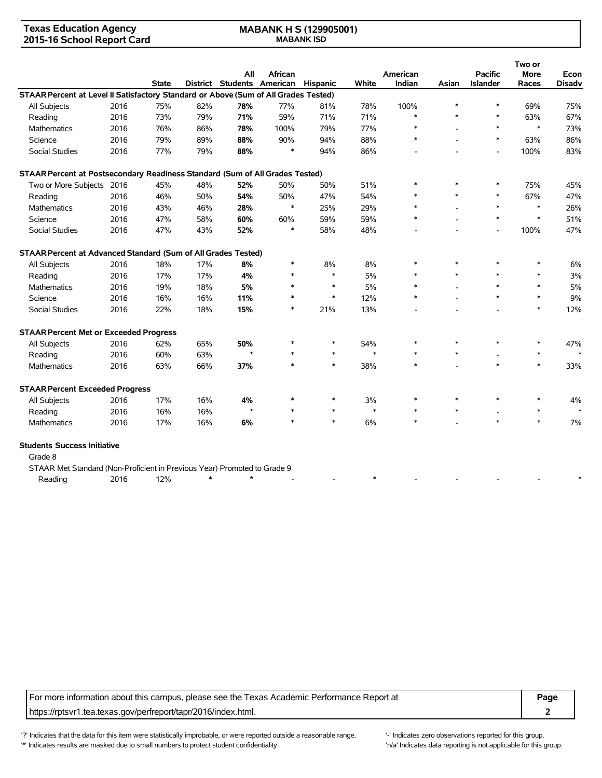#### **Texas Education Agency 2015-16 School Report Card**

#### **MABANK H S (129905001) MABANK ISD**

|                                                                                     |      |              |                 | All     | African                  |                 |        | American |        | <b>Pacific</b>  | Two or<br><b>More</b> | Econ          |
|-------------------------------------------------------------------------------------|------|--------------|-----------------|---------|--------------------------|-----------------|--------|----------|--------|-----------------|-----------------------|---------------|
|                                                                                     |      | <b>State</b> | <b>District</b> |         | <b>Students American</b> | <b>Hispanic</b> | White  | Indian   | Asian  | <b>Islander</b> | Races                 | <b>Disadv</b> |
| STAAR Percent at Level II Satisfactory Standard or Above (Sum of All Grades Tested) |      |              |                 |         |                          |                 |        |          |        |                 |                       |               |
| All Subjects                                                                        | 2016 | 75%          | 82%             | 78%     | 77%                      | 81%             | 78%    | 100%     | *      | $\ast$          | 69%                   | 75%           |
| Reading                                                                             | 2016 | 73%          | 79%             | 71%     | 59%                      | 71%             | 71%    | $\ast$   | $\ast$ | $\ast$          | 63%                   | 67%           |
| <b>Mathematics</b>                                                                  | 2016 | 76%          | 86%             | 78%     | 100%                     | 79%             | 77%    | $\ast$   |        | $\ast$          | $\ast$                | 73%           |
| Science                                                                             | 2016 | 79%          | 89%             | 88%     | 90%                      | 94%             | 88%    | $\ast$   |        | $\ast$          | 63%                   | 86%           |
| <b>Social Studies</b>                                                               | 2016 | 77%          | 79%             | 88%     | $\ast$                   | 94%             | 86%    |          |        | $\overline{a}$  | 100%                  | 83%           |
| STAAR Percent at Postsecondary Readiness Standard (Sum of All Grades Tested)        |      |              |                 |         |                          |                 |        |          |        |                 |                       |               |
| Two or More Subjects                                                                | 2016 | 45%          | 48%             | 52%     | 50%                      | 50%             | 51%    | $\ast$   | *      | $\ast$          | 75%                   | 45%           |
| Reading                                                                             | 2016 | 46%          | 50%             | 54%     | 50%                      | 47%             | 54%    |          | $\ast$ | $\ast$          | 67%                   | 47%           |
| <b>Mathematics</b>                                                                  | 2016 | 43%          | 46%             | 28%     | $\ast$                   | 25%             | 29%    |          |        | $\ast$          | $\ast$                | 26%           |
| Science                                                                             | 2016 | 47%          | 58%             | 60%     | 60%                      | 59%             | 59%    | $\ast$   |        | $\ast$          | $\ast$                | 51%           |
| <b>Social Studies</b>                                                               | 2016 | 47%          | 43%             | 52%     | $\ast$                   | 58%             | 48%    |          |        |                 | 100%                  | 47%           |
| STAAR Percent at Advanced Standard (Sum of All Grades Tested)                       |      |              |                 |         |                          |                 |        |          |        |                 |                       |               |
| All Subjects                                                                        | 2016 | 18%          | 17%             | 8%      | $\ast$                   | 8%              | 8%     |          | $\ast$ | $\ast$          | $\ast$                | 6%            |
| Reading                                                                             | 2016 | 17%          | 17%             | 4%      | *                        | $\ast$          | 5%     |          | $\ast$ | $\ast$          | $\ast$                | 3%            |
| <b>Mathematics</b>                                                                  | 2016 | 19%          | 18%             | 5%      | ∗                        | $\ast$          | 5%     |          |        | $\ast$          | $\ast$                | 5%            |
| Science                                                                             | 2016 | 16%          | 16%             | 11%     | $\ast$                   | $\ast$          | 12%    | $\ast$   |        | $\ast$          | $\ast$                | 9%            |
| <b>Social Studies</b>                                                               | 2016 | 22%          | 18%             | 15%     | $\ast$                   | 21%             | 13%    |          |        |                 | $\ast$                | 12%           |
| <b>STAAR Percent Met or Exceeded Progress</b>                                       |      |              |                 |         |                          |                 |        |          |        |                 |                       |               |
| All Subjects                                                                        | 2016 | 62%          | 65%             | 50%     |                          | ∗               | 54%    | $\ast$   |        | $\ast$          | $\ast$                | 47%           |
| Reading                                                                             | 2016 | 60%          | 63%             | $\star$ | $\ast$                   | $\ast$          | $\ast$ | $\ast$   | *      |                 | $\ast$                | $\ast$        |
| Mathematics                                                                         | 2016 | 63%          | 66%             | 37%     | $\ast$                   | $\ast$          | 38%    | $\ast$   |        | $\ast$          | $\ast$                | 33%           |
| <b>STAAR Percent Exceeded Progress</b>                                              |      |              |                 |         |                          |                 |        |          |        |                 |                       |               |
| All Subjects                                                                        | 2016 | 17%          | 16%             | 4%      |                          | ∗               | 3%     | $\ast$   | $\ast$ | $\ast$          | $\ast$                | 4%            |
| Reading                                                                             | 2016 | 16%          | 16%             | $\star$ | *                        | $\ast$          | $\ast$ | $\ast$   | *      |                 | $\ast$                | $\ast$        |
| Mathematics                                                                         | 2016 | 17%          | 16%             | 6%      | $\ast$                   | $\ast$          | 6%     | $\ast$   |        | $\ast$          | $\ast$                | 7%            |
| <b>Students Success Initiative</b>                                                  |      |              |                 |         |                          |                 |        |          |        |                 |                       |               |

Grade 8

| STAAR Met Standard (Non-Proficient in Previous Year) Promoted to Grade 9 |      |     |  |  |  |  |  |
|--------------------------------------------------------------------------|------|-----|--|--|--|--|--|
| Reading                                                                  | 2016 | 12% |  |  |  |  |  |

For more information about this campus, please see the Texas Academic Performance Report at **Page** https://rptsvr1.tea.texas.gov/perfreport/tapr/2016/index.html. **2**

'?' Indicates that the data for this item were statistically improbable, or were reported outside a reasonable range. '' Indicates zero observations reported for this group. '\*' Indicates results are masked due to small numbers to protect student confidentiality. Moreover the student confidentiality is not applicable for this group.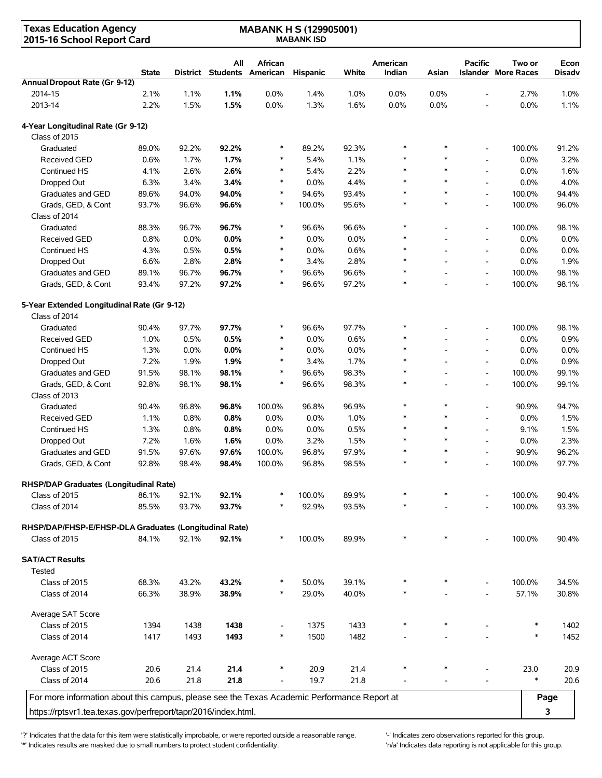| <b>Texas Education Agency</b><br>2015-16 School Report Card                                 |              |       |                          | <b>MABANK H S (129905001)</b><br><b>MABANK ISD</b> |                 |       |                    |                          |                          |                                      |                |
|---------------------------------------------------------------------------------------------|--------------|-------|--------------------------|----------------------------------------------------|-----------------|-------|--------------------|--------------------------|--------------------------|--------------------------------------|----------------|
|                                                                                             | <b>State</b> |       | All<br>District Students | <b>African</b><br>American                         | <b>Hispanic</b> | White | American<br>Indian | Asian                    | <b>Pacific</b>           | Two or<br><b>Islander More Races</b> | Econ<br>Disadv |
| Annual Dropout Rate (Gr 9-12)                                                               |              |       |                          |                                                    |                 |       |                    |                          |                          |                                      |                |
| 2014-15                                                                                     | 2.1%         | 1.1%  | 1.1%                     | 0.0%                                               | 1.4%            | 1.0%  | 0.0%               | 0.0%                     | $\overline{a}$           | 2.7%                                 | 1.0%           |
| 2013-14                                                                                     | 2.2%         | 1.5%  | 1.5%                     | 0.0%                                               | 1.3%            | 1.6%  | 0.0%               | 0.0%                     | $\overline{a}$           | 0.0%                                 | 1.1%           |
| 4-Year Longitudinal Rate (Gr 9-12)                                                          |              |       |                          |                                                    |                 |       |                    |                          |                          |                                      |                |
| Class of 2015                                                                               |              |       |                          |                                                    |                 |       |                    |                          |                          |                                      |                |
| Graduated                                                                                   | 89.0%        | 92.2% | 92.2%                    | ∗                                                  | 89.2%           | 92.3% | $\ast$             | $\ast$                   | $\overline{a}$           | 100.0%                               | 91.2%          |
| Received GED                                                                                | 0.6%         | 1.7%  | 1.7%                     | *                                                  | 5.4%            | 1.1%  | $\ast$             | $\ast$                   | $\overline{a}$           | 0.0%                                 | 3.2%           |
| Continued HS                                                                                | 4.1%         | 2.6%  | 2.6%                     | $\ast$                                             | 5.4%            | 2.2%  | $\ast$             | $\ast$                   | $\overline{\phantom{a}}$ | 0.0%                                 | 1.6%           |
| Dropped Out                                                                                 | 6.3%         | 3.4%  | 3.4%                     | $\ast$                                             | 0.0%            | 4.4%  | $\ast$             | $\ast$                   | $\overline{a}$           | 0.0%                                 | 4.0%           |
| Graduates and GED                                                                           | 89.6%        | 94.0% | 94.0%                    | $\ast$                                             | 94.6%           | 93.4% | $\ast$             | $\ast$                   | $\overline{a}$           | 100.0%                               | 94.4%          |
| Grads, GED, & Cont                                                                          | 93.7%        | 96.6% | 96.6%                    | $\ast$                                             | 100.0%          | 95.6% | $\ast$             | $\ast$                   | $\overline{\phantom{a}}$ | 100.0%                               | 96.0%          |
| Class of 2014                                                                               |              |       |                          |                                                    |                 |       |                    |                          |                          |                                      |                |
| Graduated                                                                                   | 88.3%        | 96.7% | 96.7%                    | $\ast$                                             | 96.6%           | 96.6% | $\ast$             |                          | $\overline{\phantom{a}}$ | 100.0%                               | 98.1%          |
| <b>Received GED</b>                                                                         | 0.8%         | 0.0%  | 0.0%                     | *                                                  | 0.0%            | 0.0%  | $\ast$             | $\overline{\phantom{a}}$ | $\overline{a}$           | 0.0%                                 | 0.0%           |
| Continued HS                                                                                | 4.3%         | 0.5%  | 0.5%                     | $\ast$                                             | 0.0%            | 0.6%  | $\ast$             |                          | $\overline{a}$           | 0.0%                                 | 0.0%           |
| Dropped Out                                                                                 | 6.6%         | 2.8%  | 2.8%                     | *                                                  | 3.4%            | 2.8%  | $\ast$             |                          | $\overline{\phantom{a}}$ | 0.0%                                 | 1.9%           |
| Graduates and GED                                                                           | 89.1%        | 96.7% | 96.7%                    | $\ast$                                             | 96.6%           | 96.6% | $\ast$             |                          | $\overline{\phantom{a}}$ | 100.0%                               | 98.1%          |
| Grads, GED, & Cont                                                                          | 93.4%        | 97.2% | 97.2%                    | $\ast$                                             | 96.6%           | 97.2% | $\ast$             |                          | $\blacksquare$           | 100.0%                               | 98.1%          |
| 5-Year Extended Longitudinal Rate (Gr 9-12)                                                 |              |       |                          |                                                    |                 |       |                    |                          |                          |                                      |                |
| Class of 2014                                                                               |              |       |                          |                                                    |                 |       |                    |                          |                          |                                      |                |
| Graduated                                                                                   | 90.4%        | 97.7% | 97.7%                    | $\ast$                                             | 96.6%           | 97.7% | $\ast$             |                          | $\overline{\phantom{a}}$ | 100.0%                               | 98.1%          |
| <b>Received GED</b>                                                                         | 1.0%         | 0.5%  | 0.5%                     | *                                                  | 0.0%            | 0.6%  | $\ast$             |                          | $\overline{\phantom{a}}$ | 0.0%                                 | 0.9%           |
| Continued HS                                                                                | 1.3%         | 0.0%  | 0.0%                     | $\ast$                                             | 0.0%            | 0.0%  | $\ast$             |                          | $\overline{\phantom{a}}$ | 0.0%                                 | 0.0%           |
| Dropped Out                                                                                 | 7.2%         | 1.9%  | 1.9%                     | $\ast$                                             | 3.4%            | 1.7%  | $\ast$             |                          | $\overline{\phantom{a}}$ | 0.0%                                 | 0.9%           |
| Graduates and GED                                                                           | 91.5%        | 98.1% | 98.1%                    | $\ast$                                             | 96.6%           | 98.3% | $\ast$             |                          | $\overline{\phantom{a}}$ | 100.0%                               | 99.1%          |
| Grads, GED, & Cont                                                                          | 92.8%        | 98.1% | 98.1%                    | $\ast$                                             | 96.6%           | 98.3% | $\ast$             |                          | $\overline{\phantom{a}}$ | 100.0%                               | 99.1%          |
| Class of 2013                                                                               |              |       |                          |                                                    |                 |       |                    |                          |                          |                                      |                |
| Graduated                                                                                   | 90.4%        | 96.8% | 96.8%                    | 100.0%                                             | 96.8%           | 96.9% | $\ast$             | $\ast$                   | $\overline{\phantom{a}}$ | 90.9%                                | 94.7%          |
| <b>Received GED</b>                                                                         | 1.1%         | 0.8%  | 0.8%                     | 0.0%                                               | 0.0%            | 1.0%  | $\ast$             | $\ast$                   | $\overline{a}$           | 0.0%                                 | 1.5%           |
| Continued HS                                                                                | 1.3%         | 0.8%  | 0.8%                     | 0.0%                                               | 0.0%            | 0.5%  | $\ast$             | $\ast$                   | $\overline{\phantom{a}}$ | 9.1%                                 | 1.5%           |
| Dropped Out                                                                                 | 7.2%         | 1.6%  | 1.6%                     | 0.0%                                               | 3.2%            | 1.5%  | $\ast$             | $\ast$                   | $\overline{a}$           | 0.0%                                 | 2.3%           |
| Graduates and GED                                                                           | 91.5%        | 97.6% | 97.6%                    | 100.0%                                             | 96.8%           | 97.9% | $\ast$             | $\ast$                   | $\overline{a}$           | 90.9%                                | 96.2%          |
| Grads, GED, & Cont                                                                          | 92.8%        | 98.4% | 98.4%                    | 100.0%                                             | 96.8%           | 98.5% | $\ast$             | *                        |                          | 100.0%                               | 97.7%          |
|                                                                                             |              |       |                          |                                                    |                 |       |                    |                          |                          |                                      |                |
| RHSP/DAP Graduates (Longitudinal Rate)                                                      |              |       |                          |                                                    |                 |       |                    |                          |                          |                                      |                |
| Class of 2015                                                                               | 86.1%        | 92.1% | 92.1%                    |                                                    | 100.0%          | 89.9% | ∗                  | *                        |                          | 100.0%                               | 90.4%          |
| Class of 2014                                                                               | 85.5%        | 93.7% | 93.7%                    | *                                                  | 92.9%           | 93.5% | $\ast$             |                          |                          | 100.0%                               | 93.3%          |
| RHSP/DAP/FHSP-E/FHSP-DLA Graduates (Longitudinal Rate)                                      |              |       |                          |                                                    |                 |       |                    |                          |                          |                                      |                |
| Class of 2015                                                                               | 84.1%        | 92.1% | 92.1%                    | ∗                                                  | 100.0%          | 89.9% | $\ast$             | *                        |                          | 100.0%                               | 90.4%          |
| <b>SAT/ACT Results</b>                                                                      |              |       |                          |                                                    |                 |       |                    |                          |                          |                                      |                |
| Tested                                                                                      |              |       |                          |                                                    |                 |       |                    |                          |                          |                                      |                |
| Class of 2015                                                                               | 68.3%        | 43.2% | 43.2%                    |                                                    | 50.0%           | 39.1% |                    |                          |                          | 100.0%                               | 34.5%          |
| Class of 2014                                                                               | 66.3%        | 38.9% | 38.9%                    | ∗                                                  | 29.0%           | 40.0% |                    |                          |                          | 57.1%                                | 30.8%          |
| Average SAT Score                                                                           |              |       |                          |                                                    |                 |       |                    |                          |                          |                                      |                |
| Class of 2015                                                                               | 1394         | 1438  | 1438                     |                                                    | 1375            | 1433  | $\ast$             | $\ast$                   |                          | $\ast$                               | 1402           |
| Class of 2014                                                                               | 1417         | 1493  | 1493                     | $\ast$                                             | 1500            | 1482  |                    |                          |                          | $\ast$                               | 1452           |
|                                                                                             |              |       |                          |                                                    |                 |       |                    |                          |                          |                                      |                |
| Average ACT Score                                                                           |              |       |                          |                                                    |                 |       |                    |                          |                          |                                      |                |
| Class of 2015                                                                               | 20.6         | 21.4  | 21.4                     |                                                    | 20.9            | 21.4  | $\ast$             |                          |                          | 23.0                                 | 20.9           |
| Class of 2014                                                                               | 20.6         | 21.8  | 21.8                     |                                                    | 19.7            | 21.8  |                    |                          |                          | $\ast$                               | 20.6           |
| For more information about this campus, please see the Texas Academic Performance Report at |              |       |                          |                                                    |                 |       |                    |                          |                          |                                      | Page           |
| https://rptsvr1.tea.texas.gov/perfreport/tapr/2016/index.html.                              |              |       |                          |                                                    |                 |       |                    |                          |                          |                                      | 3              |
|                                                                                             |              |       |                          |                                                    |                 |       |                    |                          |                          |                                      |                |

'?' Indicates that the data for this item were statistically improbable, or were reported outside a reasonable range. <br>'\*' Indicates results are masked due to small numbers to protect student confidentiality. (inter any in

'\*' Indicates results are masked due to small numbers to protect student confidentiality.